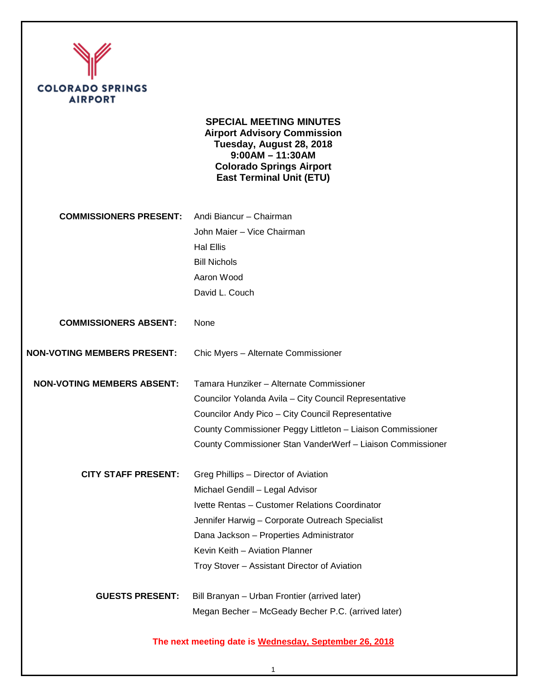

**SPECIAL MEETING MINUTES Airport Advisory Commission Tuesday, August 28, 2018 9:00AM – 11:30AM Colorado Springs Airport East Terminal Unit (ETU)**

| <b>COMMISSIONERS PRESENT:</b>      | Andi Biancur - Chairman                                    |
|------------------------------------|------------------------------------------------------------|
|                                    | John Maier - Vice Chairman                                 |
|                                    | <b>Hal Ellis</b>                                           |
|                                    | <b>Bill Nichols</b>                                        |
|                                    | Aaron Wood                                                 |
|                                    | David L. Couch                                             |
| <b>COMMISSIONERS ABSENT:</b>       | None                                                       |
| <b>NON-VOTING MEMBERS PRESENT:</b> | Chic Myers - Alternate Commissioner                        |
| <b>NON-VOTING MEMBERS ABSENT:</b>  | Tamara Hunziker – Alternate Commissioner                   |
|                                    | Councilor Yolanda Avila - City Council Representative      |
|                                    | Councilor Andy Pico - City Council Representative          |
|                                    | County Commissioner Peggy Littleton - Liaison Commissioner |
|                                    | County Commissioner Stan VanderWerf - Liaison Commissioner |
| <b>CITY STAFF PRESENT:</b>         | Greg Phillips - Director of Aviation                       |
|                                    | Michael Gendill - Legal Advisor                            |
|                                    | Ivette Rentas - Customer Relations Coordinator             |
|                                    | Jennifer Harwig - Corporate Outreach Specialist            |
|                                    | Dana Jackson - Properties Administrator                    |
|                                    | Kevin Keith - Aviation Planner                             |
|                                    | Troy Stover - Assistant Director of Aviation               |
| <b>GUESTS PRESENT:</b>             | Bill Branyan - Urban Frontier (arrived later)              |
|                                    | Megan Becher - McGeady Becher P.C. (arrived later)         |

**The next meeting date is Wednesday, September 26, 2018**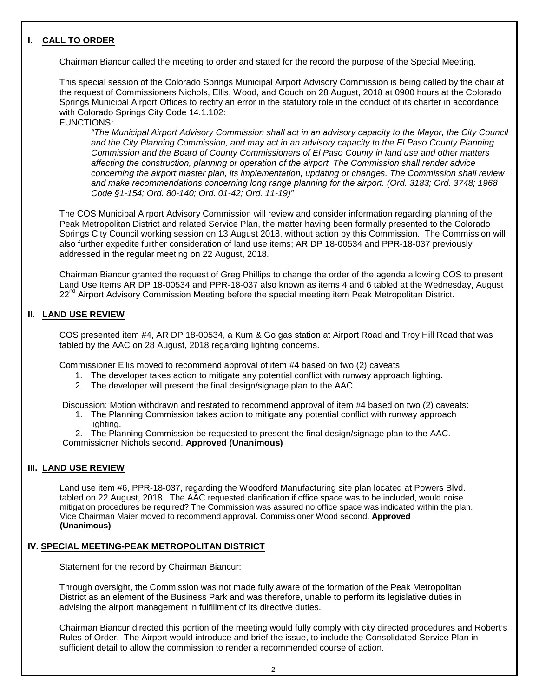## **I. CALL TO ORDER**

Ι

Chairman Biancur called the meeting to order and stated for the record the purpose of the Special Meeting.

This special session of the Colorado Springs Municipal Airport Advisory Commission is being called by the chair at the request of Commissioners Nichols, Ellis, Wood, and Couch on 28 August, 2018 at 0900 hours at the Colorado Springs Municipal Airport Offices to rectify an error in the statutory role in the conduct of its charter in accordance with Colorado Springs City Code 14.1.102:

FUNCTIONS*:*

*"The Municipal Airport Advisory Commission shall act in an advisory capacity to the Mayor, the City Council and the City Planning Commission, and may act in an advisory capacity to the El Paso County Planning Commission and the Board of County Commissioners of El Paso County in land use and other matters affecting the construction, planning or operation of the airport. The Commission shall render advice concerning the airport master plan, its implementation, updating or changes. The Commission shall review and make recommendations concerning long range planning for the airport. (Ord. 3183; Ord. 3748; 1968 Code §1-154; Ord. 80-140; Ord. 01-42; Ord. 11-19)"*

The COS Municipal Airport Advisory Commission will review and consider information regarding planning of the Peak Metropolitan District and related Service Plan, the matter having been formally presented to the Colorado Springs City Council working session on 13 August 2018, without action by this Commission. The Commission will also further expedite further consideration of land use items; AR DP 18-00534 and PPR-18-037 previously addressed in the regular meeting on 22 August, 2018.

Chairman Biancur granted the request of Greg Phillips to change the order of the agenda allowing COS to present Land Use Items AR DP 18-00534 and PPR-18-037 also known as items 4 and 6 tabled at the Wednesday, August 22<sup>nd</sup> Airport Advisory Commission Meeting before the special meeting item Peak Metropolitan District.

## **II. LAND USE REVIEW**

COS presented item #4, AR DP 18-00534, a Kum & Go gas station at Airport Road and Troy Hill Road that was tabled by the AAC on 28 August, 2018 regarding lighting concerns.

Commissioner Ellis moved to recommend approval of item #4 based on two (2) caveats:

- 1. The developer takes action to mitigate any potential conflict with runway approach lighting.
- 2. The developer will present the final design/signage plan to the AAC.

Discussion: Motion withdrawn and restated to recommend approval of item #4 based on two (2) caveats:

1. The Planning Commission takes action to mitigate any potential conflict with runway approach lighting.

2. The Planning Commission be requested to present the final design/signage plan to the AAC. Commissioner Nichols second. **Approved (Unanimous)** 

#### **III. LAND USE REVIEW**

Land use item #6, PPR-18-037, regarding the Woodford Manufacturing site plan located at Powers Blvd. tabled on 22 August, 2018. The AAC requested clarification if office space was to be included, would noise mitigation procedures be required? The Commission was assured no office space was indicated within the plan. Vice Chairman Maier moved to recommend approval. Commissioner Wood second. **Approved (Unanimous)** 

## **IV. SPECIAL MEETING-PEAK METROPOLITAN DISTRICT**

Statement for the record by Chairman Biancur:

Through oversight, the Commission was not made fully aware of the formation of the Peak Metropolitan District as an element of the Business Park and was therefore, unable to perform its legislative duties in advising the airport management in fulfillment of its directive duties.

Chairman Biancur directed this portion of the meeting would fully comply with city directed procedures and Robert's Rules of Order. The Airport would introduce and brief the issue, to include the Consolidated Service Plan in sufficient detail to allow the commission to render a recommended course of action.